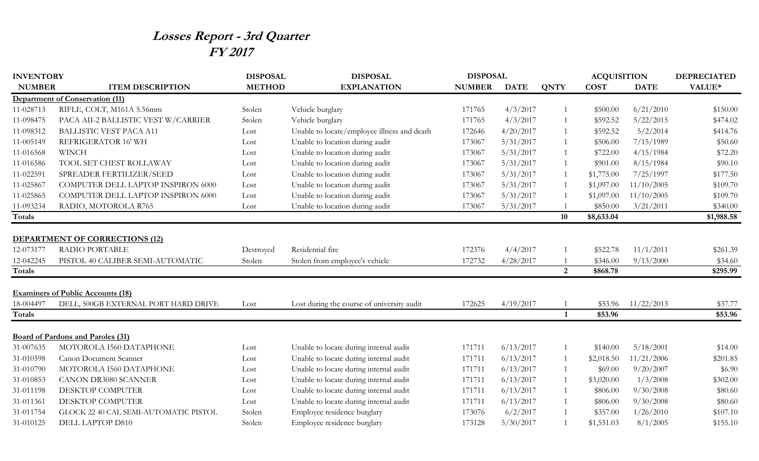## **Losses Report - 3rd Quarter FY 2017**

| <b>INVENTORY</b> |                                          | <b>DISPOSAL</b> | <b>DISPOSAL</b>                             | <b>DISPOSAL</b> |             |                | <b>ACQUISITION</b> |             | <b>DEPRECIATED</b> |
|------------------|------------------------------------------|-----------------|---------------------------------------------|-----------------|-------------|----------------|--------------------|-------------|--------------------|
| <b>NUMBER</b>    | <b>ITEM DESCRIPTION</b>                  | <b>METHOD</b>   | <b>EXPLANATION</b>                          | <b>NUMBER</b>   | <b>DATE</b> | <b>QNTY</b>    | <b>COST</b>        | <b>DATE</b> | VALUE*             |
|                  | <b>Department of Conservation (11)</b>   |                 |                                             |                 |             |                |                    |             |                    |
| 11-028713        | RIFLE, COLT, M161A 5.56mm                | Stolen          | Vehicle burglary                            | 171765          | 4/3/2017    |                | \$500.00           | 6/21/2010   | \$150.00           |
| 11-098475        | PACA AII-2 BALLISTIC VEST W/CARRIER      | Stolen          | Vehicle burglary                            | 171765          | 4/3/2017    |                | \$592.52           | 5/22/2015   | \$474.02           |
| 11-098312        | <b>BALLISTIC VEST PACA A11</b>           | Lost            | Unable to locate/employee illness and death | 172646          | 4/20/2017   | -1             | \$592.52           | 5/2/2014    | \$414.76           |
| 11-005149        | REFRIGERATOR 16' WH                      | Lost            | Unable to location during audit             | 173067          | 5/31/2017   | -1             | \$506.00           | 7/15/1989   | \$50.60            |
| 11-016568        | <b>WINCH</b>                             | Lost            | Unable to location during audit             | 173067          | 5/31/2017   | -1             | \$722.00           | 4/15/1984   | \$72.20            |
| 11-016586        | TOOL SET CHEST ROLLAWAY                  | Lost            | Unable to location during audit             | 173067          | 5/31/2017   | $\overline{1}$ | \$901.00           | 8/15/1984   | \$90.10            |
| 11-022591        | SPREADER FERTILIZER/SEED                 | Lost            | Unable to location during audit             | 173067          | 5/31/2017   | -1             | \$1,775.00         | 7/25/1997   | \$177.50           |
| 11-025867        | COMPUTER DELL LAPTOP INSPIRON 6000       | Lost            | Unable to location during audit             | 173067          | 5/31/2017   | -1             | \$1,097.00         | 11/10/2005  | \$109.70           |
| 11-025865        | COMPUTER DELL LAPTOP INSPIRON 6000       | Lost            | Unable to location during audit             | 173067          | 5/31/2017   | $\overline{1}$ | \$1,097.00         | 11/10/2005  | \$109.70           |
| 11-093234        | RADIO, MOTOROLA R765                     | Lost            | Unable to location during audit             | 173067          | 5/31/2017   |                | \$850.00           | 3/21/2011   | \$340.00           |
| <b>Totals</b>    |                                          |                 |                                             |                 |             | 10             | \$8,633.04         |             | \$1,988.58         |
|                  |                                          |                 |                                             |                 |             |                |                    |             |                    |
|                  | <b>DEPARTMENT OF CORRECTIONS (12)</b>    |                 |                                             |                 |             |                |                    |             |                    |
| 12-073177        | <b>RADIO PORTABLE</b>                    | Destroyed       | Residential fire                            | 172376          | 4/4/2017    |                | \$522.78           | 11/1/2011   | \$261.39           |
| 12-042245        | PISTOL 40 CALIBER SEMI-AUTOMATIC         | Stolen          | Stolen from employee's vehicle              | 172732          | 4/28/2017   |                | \$346.00           | 9/13/2000   | \$34.60            |
| <b>Totals</b>    |                                          |                 |                                             |                 |             | 2              | \$868.78           |             | \$295.99           |
|                  |                                          |                 |                                             |                 |             |                |                    |             |                    |
|                  | <b>Examiners of Public Accounts (18)</b> |                 |                                             |                 |             |                |                    |             |                    |
| 18-004497        | DELL, 500GB EXTERNAL PORT HARD DRIVE     | Lost            | Lost during the course of university audit  | 172625          | 4/19/2017   |                | \$53.96            | 11/22/2013  | \$37.77            |
| <b>Totals</b>    |                                          |                 |                                             |                 |             | $\mathbf{1}$   | \$53.96            |             | \$53.96            |
|                  |                                          |                 |                                             |                 |             |                |                    |             |                    |
|                  | <b>Board of Pardons and Paroles (31)</b> |                 |                                             |                 |             |                |                    |             |                    |
| 31-007635        | MOTOROLA I560 DATAPHONE                  | Lost            | Unable to locate during internal audit      | 171711          | 6/13/2017   |                | \$140.00           | 5/18/2001   | \$14.00            |
| 31-010598        | Canon Document Scanner                   | Lost            | Unable to locate during internal audit      | 171711          | 6/13/2017   | -1             | \$2,018.50         | 11/21/2006  | \$201.85           |
| 31-010790        | MOTOROLA I560 DATAPHONE                  | Lost            | Unable to locate during internal audit      | 171711          | 6/13/2017   |                | \$69.00            | 9/20/2007   | \$6.90             |
| 31-010853        | <b>CANON DR3080 SCANNER</b>              | Lost            | Unable to locate during internal audit      | 171711          | 6/13/2017   | $\overline{1}$ | \$3,020.00         | 1/3/2008    | \$302.00           |
| 31-011198        | DESKTOP COMPUTER                         | Lost            | Unable to locate during internal audit      | 171711          | 6/13/2017   |                | \$806.00           | 9/30/2008   | \$80.60            |
| 31-011361        | DESKTOP COMPUTER                         | Lost            | Unable to locate during internal audit      | 171711          | 6/13/2017   | -1             | \$806.00           | 9/30/2008   | \$80.60            |
| 31-011754        | GLOCK 22 40 CAL SEMI-AUTOMATIC PISTOL    | Stolen          | Employee residence burglary                 | 173076          | 6/2/2017    |                | \$357.00           | 1/26/2010   | \$107.10           |
| 31-010125        | DELL LAPTOP D810                         | Stolen          | Employee residence burglary                 | 173128          | 5/30/2017   |                | \$1,551.03         | 8/1/2005    | \$155.10           |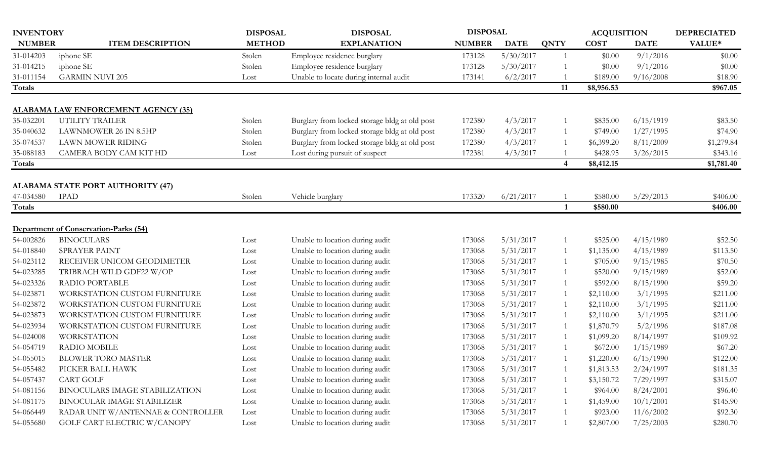| <b>INVENTORY</b> |                                          | <b>DISPOSAL</b> | <b>DISPOSAL</b>                               | <b>DISPOSAL</b> |             |              | <b>ACQUISITION</b> |             | <b>DEPRECIATED</b> |
|------------------|------------------------------------------|-----------------|-----------------------------------------------|-----------------|-------------|--------------|--------------------|-------------|--------------------|
| <b>NUMBER</b>    | <b>ITEM DESCRIPTION</b>                  | <b>METHOD</b>   | <b>EXPLANATION</b>                            | <b>NUMBER</b>   | <b>DATE</b> | <b>QNTY</b>  | <b>COST</b>        | <b>DATE</b> | VALUE*             |
| 31-014203        | iphone SE                                | Stolen          | Employee residence burglary                   | 173128          | 5/30/2017   |              | \$0.00             | 9/1/2016    | \$0.00             |
| 31-014215        | iphone SE                                | Stolen          | Employee residence burglary                   | 173128          | 5/30/2017   |              | \$0.00             | 9/1/2016    | \$0.00             |
| 31-011154        | <b>GARMIN NUVI 205</b>                   | Lost            | Unable to locate during internal audit        | 173141          | 6/2/2017    |              | \$189.00           | 9/16/2008   | \$18.90            |
| <b>Totals</b>    |                                          |                 |                                               |                 |             | 11           | \$8,956.53         |             | \$967.05           |
|                  |                                          |                 |                                               |                 |             |              |                    |             |                    |
|                  | ALABAMA LAW ENFORCEMENT AGENCY (35)      |                 |                                               |                 |             |              |                    |             |                    |
| 35-032201        | UTILITY TRAILER                          | Stolen          | Burglary from locked storage bldg at old post | 172380          | 4/3/2017    |              | \$835.00           | 6/15/1919   | \$83.50            |
| 35-040632        | LAWNMOWER 26 IN 8.5HP                    | Stolen          | Burglary from locked storage bldg at old post | 172380          | 4/3/2017    |              | \$749.00           | 1/27/1995   | \$74.90            |
| 35-074537        | LAWN MOWER RIDING                        | Stolen          | Burglary from locked storage bldg at old post | 172380          | 4/3/2017    |              | \$6,399.20         | 8/11/2009   | \$1,279.84         |
| 35-088183        | CAMERA BODY CAM KIT HD                   | Lost            | Lost during pursuit of suspect                | 172381          | 4/3/2017    |              | \$428.95           | 3/26/2015   | \$343.16           |
| Totals           |                                          |                 |                                               |                 |             | 4            | \$8,412.15         |             | \$1,781.40         |
|                  |                                          |                 |                                               |                 |             |              |                    |             |                    |
|                  | <b>ALABAMA STATE PORT AUTHORITY (47)</b> |                 |                                               |                 |             |              |                    |             |                    |
| 47-034580        | <b>IPAD</b>                              | Stolen          | Vehicle burglary                              | 173320          | 6/21/2017   |              | \$580.00           | 5/29/2013   | \$406.00           |
| Totals           |                                          |                 |                                               |                 |             | $\mathbf{1}$ | \$580.00           |             | \$406.00           |
|                  | Department of Conservation-Parks (54)    |                 |                                               |                 |             |              |                    |             |                    |
| 54-002826        | <b>BINOCULARS</b>                        | Lost            | Unable to location during audit               | 173068          | 5/31/2017   |              | \$525.00           | 4/15/1989   | \$52.50            |
| 54-018840        | SPRAYER PAINT                            | Lost            | Unable to location during audit               | 173068          | 5/31/2017   |              | \$1,135.00         | 4/15/1989   | \$113.50           |
| 54-023112        | RECEIVER UNICOM GEODIMETER               | Lost            | Unable to location during audit               | 173068          | 5/31/2017   |              | \$705.00           | 9/15/1985   | \$70.50            |
| 54-023285        | TRIBRACH WILD GDF22 W/OP                 | Lost            | Unable to location during audit               | 173068          | 5/31/2017   |              | \$520.00           | 9/15/1989   | \$52.00            |
| 54-023326        | <b>RADIO PORTABLE</b>                    | Lost            | Unable to location during audit               | 173068          | 5/31/2017   |              | \$592.00           | 8/15/1990   | \$59.20            |
| 54-023871        | WORKSTATION CUSTOM FURNITURE             | Lost            | Unable to location during audit               | 173068          | 5/31/2017   |              | \$2,110.00         | 3/1/1995    | \$211.00           |
| 54-023872        | WORKSTATION CUSTOM FURNITURE             | Lost            | Unable to location during audit               | 173068          | 5/31/2017   |              | \$2,110.00         | 3/1/1995    | \$211.00           |
| 54-023873        | WORKSTATION CUSTOM FURNITURE             | Lost            | Unable to location during audit               | 173068          | 5/31/2017   |              | \$2,110.00         | 3/1/1995    | \$211.00           |
| 54-023934        | WORKSTATION CUSTOM FURNITURE             | Lost            | Unable to location during audit               | 173068          | 5/31/2017   |              | \$1,870.79         | 5/2/1996    | \$187.08           |
| 54-024008        | <b>WORKSTATION</b>                       | Lost            | Unable to location during audit               | 173068          | 5/31/2017   |              | \$1,099.20         | 8/14/1997   | \$109.92           |
| 54-054719        | <b>RADIO MOBILE</b>                      | Lost            | Unable to location during audit               | 173068          | 5/31/2017   |              | \$672.00           | 1/15/1989   | \$67.20            |
| 54-055015        | <b>BLOWER TORO MASTER</b>                | Lost            | Unable to location during audit               | 173068          | 5/31/2017   |              | \$1,220.00         | 6/15/1990   | \$122.00           |
| 54-055482        | PICKER BALL HAWK                         | Lost            | Unable to location during audit               | 173068          | 5/31/2017   |              | \$1,813.53         | 2/24/1997   | \$181.35           |
| 54-057437        | <b>CART GOLF</b>                         | Lost            | Unable to location during audit               | 173068          | 5/31/2017   |              | \$3,150.72         | 7/29/1997   | \$315.07           |
| 54-081156        | BINOCULARS IMAGE STABILIZATION           | Lost            | Unable to location during audit               | 173068          | 5/31/2017   |              | \$964.00           | 8/24/2001   | \$96.40            |
| 54-081175        | BINOCULAR IMAGE STABILIZER               | Lost            | Unable to location during audit               | 173068          | 5/31/2017   |              | \$1,459.00         | 10/1/2001   | \$145.90           |
| 54-066449        | RADAR UNIT W/ANTENNAE & CONTROLLER       | Lost            | Unable to location during audit               | 173068          | 5/31/2017   |              | \$923.00           | 11/6/2002   | \$92.30            |
| 54-055680        | GOLF CART ELECTRIC W/CANOPY              |                 | Unable to location during audit               | 173068          | 5/31/2017   |              | \$2,807.00         | 7/25/2003   | \$280.70           |
|                  |                                          | Lost            |                                               |                 |             |              |                    |             |                    |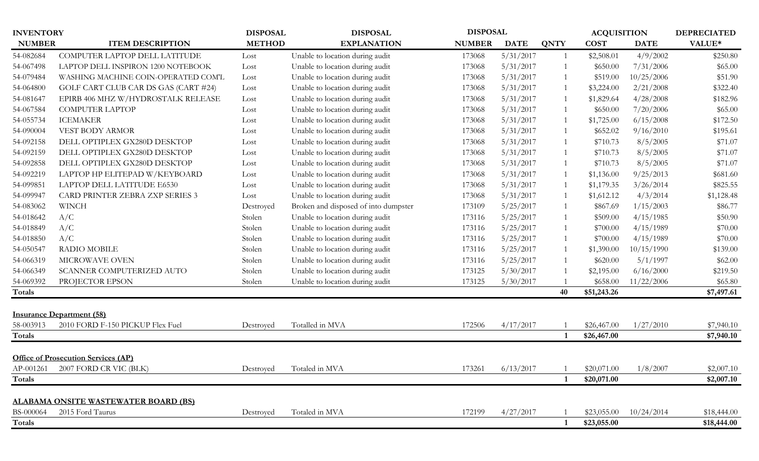| <b>INVENTORY</b> |                                             | <b>DISPOSAL</b> | <b>DISPOSAL</b>                      | <b>DISPOSAL</b> |             |                | <b>ACQUISITION</b> |             | <b>DEPRECIATED</b> |
|------------------|---------------------------------------------|-----------------|--------------------------------------|-----------------|-------------|----------------|--------------------|-------------|--------------------|
| <b>NUMBER</b>    | <b>ITEM DESCRIPTION</b>                     | <b>METHOD</b>   | <b>EXPLANATION</b>                   | <b>NUMBER</b>   | <b>DATE</b> | <b>QNTY</b>    | <b>COST</b>        | <b>DATE</b> | VALUE*             |
| 54-082684        | COMPUTER LAPTOP DELL LATITUDE               | Lost            | Unable to location during audit      | 173068          | 5/31/2017   | $\overline{1}$ | \$2,508.01         | 4/9/2002    | \$250.80           |
| 54-067498        | LAPTOP DELL INSPIRON 1200 NOTEBOOK          | Lost            | Unable to location during audit      | 173068          | 5/31/2017   | $\overline{1}$ | \$650.00           | 7/31/2006   | \$65.00            |
| 54-079484        | WASHING MACHINE COIN-OPERATED COM'L         | Lost            | Unable to location during audit      | 173068          | 5/31/2017   |                | \$519.00           | 10/25/2006  | \$51.90            |
| 54-064800        | GOLF CART CLUB CAR DS GAS (CART #24)        | Lost            | Unable to location during audit      | 173068          | 5/31/2017   |                | \$3,224.00         | 2/21/2008   | \$322.40           |
| 54-081647        | EPIRB 406 MHZ W/HYDROSTALK RELEASE          | Lost            | Unable to location during audit      | 173068          | 5/31/2017   | $\overline{1}$ | \$1,829.64         | 4/28/2008   | \$182.96           |
| 54-067584        | <b>COMPUTER LAPTOP</b>                      | Lost            | Unable to location during audit      | 173068          | 5/31/2017   |                | \$650.00           | 7/20/2006   | \$65.00            |
| 54-055734        | <b>ICEMAKER</b>                             | Lost            | Unable to location during audit      | 173068          | 5/31/2017   | $\overline{1}$ | \$1,725.00         | 6/15/2008   | \$172.50           |
| 54-090004        | VEST BODY ARMOR                             | Lost            | Unable to location during audit      | 173068          | 5/31/2017   |                | \$652.02           | 9/16/2010   | \$195.61           |
| 54-092158        | DELL OPTIPLEX GX280D DESKTOP                | Lost            | Unable to location during audit      | 173068          | 5/31/2017   | -1             | \$710.73           | 8/5/2005    | \$71.07            |
| 54-092159        | DELL OPTIPLEX GX280D DESKTOP                | Lost            | Unable to location during audit      | 173068          | 5/31/2017   | $\overline{1}$ | \$710.73           | 8/5/2005    | \$71.07            |
| 54-092858        | DELL OPTIPLEX GX280D DESKTOP                | Lost            | Unable to location during audit      | 173068          | 5/31/2017   |                | \$710.73           | 8/5/2005    | \$71.07            |
| 54-092219        | LAPTOP HP ELITEPAD W/KEYBOARD               | Lost            | Unable to location during audit      | 173068          | 5/31/2017   |                | \$1,136.00         | 9/25/2013   | \$681.60           |
| 54-099851        | LAPTOP DELL LATITUDE E6530                  | Lost            | Unable to location during audit      | 173068          | 5/31/2017   | $\overline{1}$ | \$1,179.35         | 3/26/2014   | \$825.55           |
| 54-099947        | CARD PRINTER ZEBRA ZXP SERIES 3             | Lost            | Unable to location during audit      | 173068          | 5/31/2017   | $\overline{1}$ | \$1,612.12         | 4/3/2014    | \$1,128.48         |
| 54-083062        | <b>WINCH</b>                                | Destroyed       | Broken and disposed of into dumpster | 173109          | 5/25/2017   |                | \$867.69           | 1/15/2003   | \$86.77            |
| 54-018642        | A/C                                         | Stolen          | Unable to location during audit      | 173116          | 5/25/2017   |                | \$509.00           | 4/15/1985   | \$50.90            |
| 54-018849        | A/C                                         | Stolen          | Unable to location during audit      | 173116          | 5/25/2017   |                | \$700.00           | 4/15/1989   | \$70.00            |
| 54-018850        | A/C                                         | Stolen          | Unable to location during audit      | 173116          | 5/25/2017   | $\overline{1}$ | \$700.00           | 4/15/1989   | \$70.00            |
| 54-050547        | <b>RADIO MOBILE</b>                         | Stolen          | Unable to location during audit      | 173116          | 5/25/2017   |                | \$1,390.00         | 10/15/1990  | \$139.00           |
| 54-066319        | MICROWAVE OVEN                              | Stolen          | Unable to location during audit      | 173116          | 5/25/2017   |                | \$620.00           | 5/1/1997    | \$62.00            |
| 54-066349        | SCANNER COMPUTERIZED AUTO                   | Stolen          | Unable to location during audit      | 173125          | 5/30/2017   |                | \$2,195.00         | 6/16/2000   | \$219.50           |
| 54-069392        | PROJECTOR EPSON                             | Stolen          | Unable to location during audit      | 173125          | 5/30/2017   |                | \$658.00           | 11/22/2006  | \$65.80            |
| Totals           |                                             |                 |                                      |                 |             | 40             | \$51,243.26        |             | \$7,497.61         |
|                  |                                             |                 |                                      |                 |             |                |                    |             |                    |
|                  | <b>Insurance Department (58)</b>            |                 |                                      |                 |             |                |                    |             |                    |
| 58-003913        | 2010 FORD F-150 PICKUP Flex Fuel            | Destroyed       | Totalled in MVA                      | 172506          | 4/17/2017   |                | \$26,467.00        | 1/27/2010   | \$7,940.10         |
| <b>Totals</b>    |                                             |                 |                                      |                 |             |                | \$26,467.00        |             | \$7,940.10         |
|                  | <b>Office of Prosecution Services (AP)</b>  |                 |                                      |                 |             |                |                    |             |                    |
| AP-001261        | 2007 FORD CR VIC (BLK)                      | Destroyed       | Totaled in MVA                       | 173261          | 6/13/2017   |                | \$20,071.00        | 1/8/2007    | \$2,007.10         |
| Totals           |                                             |                 |                                      |                 |             |                | \$20,071.00        |             | \$2,007.10         |
|                  |                                             |                 |                                      |                 |             |                |                    |             |                    |
|                  | <b>ALABAMA ONSITE WASTEWATER BOARD (BS)</b> |                 |                                      |                 |             |                |                    |             |                    |
| BS-000064        | 2015 Ford Taurus                            | Destroyed       | Totaled in MVA                       | 172199          | 4/27/2017   |                | \$23,055.00        | 10/24/2014  | \$18,444.00        |
| Totals           |                                             |                 |                                      |                 |             |                | \$23,055.00        |             | \$18,444.00        |